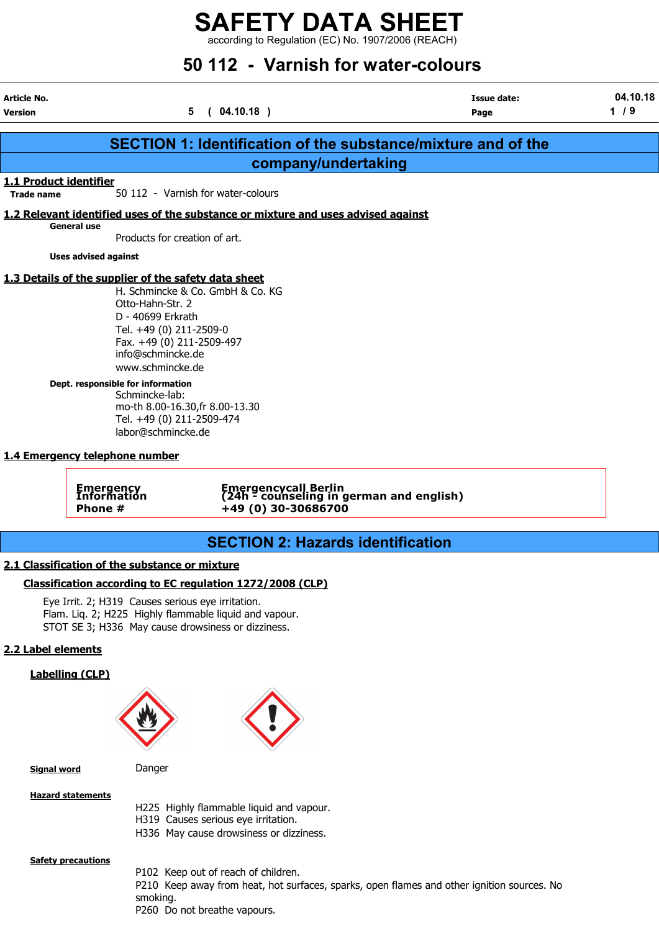$\frac{1}{2}$  according to Regulation (EC) No. 1907/2006 (REACH)

# 50 112 - Varnish for water-colours

Article No. Issue date: 04.10.18 Version 1 / 9

|                        |                                                                                                                                                                                                                                                                                                                                                                                                                   | <b>SECTION 1: Identification of the substance/mixture and of the</b>                       |
|------------------------|-------------------------------------------------------------------------------------------------------------------------------------------------------------------------------------------------------------------------------------------------------------------------------------------------------------------------------------------------------------------------------------------------------------------|--------------------------------------------------------------------------------------------|
|                        |                                                                                                                                                                                                                                                                                                                                                                                                                   | company/undertaking                                                                        |
| 1.1 Product identifier |                                                                                                                                                                                                                                                                                                                                                                                                                   |                                                                                            |
| <b>Trade name</b>      | 50 112 - Varnish for water-colours                                                                                                                                                                                                                                                                                                                                                                                |                                                                                            |
|                        |                                                                                                                                                                                                                                                                                                                                                                                                                   | 1.2 Relevant identified uses of the substance or mixture and uses advised against          |
|                        | General use<br>Products for creation of art.                                                                                                                                                                                                                                                                                                                                                                      |                                                                                            |
|                        | <b>Uses advised against</b>                                                                                                                                                                                                                                                                                                                                                                                       |                                                                                            |
|                        | 1.3 Details of the supplier of the safety data sheet<br>H. Schmincke & Co. GmbH & Co. KG<br>Otto-Hahn-Str. 2<br>D - 40699 Erkrath<br>Tel. +49 (0) 211-2509-0<br>Fax. +49 (0) 211-2509-497<br>info@schmincke.de<br>www.schmincke.de<br>Dept. responsible for information<br>Schmincke-lab:<br>mo-th 8.00-16.30, fr 8.00-13.30<br>Tel. +49 (0) 211-2509-474<br>labor@schmincke.de<br>1.4 Emergency telephone number |                                                                                            |
|                        | <b>Emergency</b><br>Information<br>Phone #                                                                                                                                                                                                                                                                                                                                                                        | Emergencycall Berlin<br>(24h - counseling in german and english)<br>+49 (0) 30-30686700    |
|                        |                                                                                                                                                                                                                                                                                                                                                                                                                   | <b>SECTION 2: Hazards identification</b>                                                   |
|                        | 2.1 Classification of the substance or mixture                                                                                                                                                                                                                                                                                                                                                                    |                                                                                            |
|                        | Classification according to EC regulation 1272/2008 (CLP)                                                                                                                                                                                                                                                                                                                                                         |                                                                                            |
|                        | Eye Irrit. 2; H319 Causes serious eye irritation.<br>Flam. Liq. 2; H225 Highly flammable liquid and vapour.<br>STOT SE 3; H336 May cause drowsiness or dizziness.                                                                                                                                                                                                                                                 |                                                                                            |
| 2.2 Label elements     |                                                                                                                                                                                                                                                                                                                                                                                                                   |                                                                                            |
|                        | <b>Labelling (CLP)</b>                                                                                                                                                                                                                                                                                                                                                                                            |                                                                                            |
| <b>Signal word</b>     | Danger                                                                                                                                                                                                                                                                                                                                                                                                            |                                                                                            |
|                        | <b>Hazard statements</b><br>H319 Causes serious eye irritation.                                                                                                                                                                                                                                                                                                                                                   | H225 Highly flammable liquid and vapour.<br>H336 May cause drowsiness or dizziness.        |
|                        | <b>Safety precautions</b><br>P102 Keep out of reach of children.<br>smoking.<br>P260 Do not breathe vapours.                                                                                                                                                                                                                                                                                                      | P210 Keep away from heat, hot surfaces, sparks, open flames and other ignition sources. No |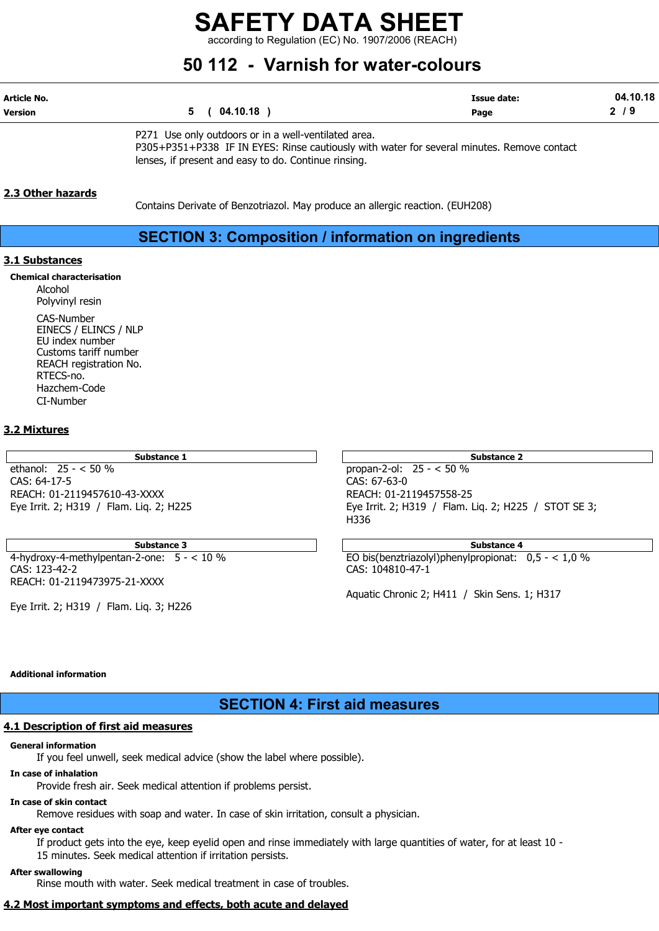according to Regulation (EC) No. 1907/2006 (REACH)

## 50 112 - Varnish for water-colours

| Article No.    |          | Issue date: | .10.18<br>04 |
|----------------|----------|-------------|--------------|
| <b>Version</b> | 04.10.18 | Page        | c            |
|                |          |             |              |

P271 Use only outdoors or in a well-ventilated area.

P305+P351+P338 IF IN EYES: Rinse cautiously with water for several minutes. Remove contact lenses, if present and easy to do. Continue rinsing.

### 2.3 Other hazards

Contains Derivate of Benzotriazol. May produce an allergic reaction. (EUH208)

### SECTION 3: Composition / information on ingredients

### 3.1 Substances

### Chemical characterisation

Alcohol Polyvinyl resin CAS-Number EINECS / ELINCS / NLP EU index number Customs tariff number REACH registration No. RTECS-no. Hazchem-Code CI-Number

### 3.2 Mixtures

Substance 1

ethanol:  $25 - < 50\%$ CAS: 64-17-5 REACH: 01-2119457610-43-XXXX Eye Irrit. 2; H319 / Flam. Liq. 2; H225

CAS: 123-42-2 CAS: 104810-47-1 REACH: 01-2119473975-21-XXXX

Eye Irrit. 2; H319 / Flam. Liq. 3; H226

| Substance 2                                          |
|------------------------------------------------------|
| propan-2-ol: $25 - < 50 \%$                          |
| CAS: 67-63-0                                         |
| REACH: 01-2119457558-25                              |
| Eye Irrit. 2; H319 / Flam. Lig. 2; H225 / STOT SE 3; |
| H336                                                 |

Substance 3 Substance 4 4-hydroxy-4-methylpentan-2-one: 5 - < 10 % EO bis(benztriazolyl)phenylpropionat: 0,5 - < 1,0 %

Aquatic Chronic 2; H411 / Skin Sens. 1; H317

### Additional information

### SECTION 4: First aid measures

### 4.1 Description of first aid measures

### General information

If you feel unwell, seek medical advice (show the label where possible).

### In case of inhalation

Provide fresh air. Seek medical attention if problems persist.

### In case of skin contact

Remove residues with soap and water. In case of skin irritation, consult a physician.

### After eye contact

If product gets into the eye, keep eyelid open and rinse immediately with large quantities of water, for at least 10 - 15 minutes. Seek medical attention if irritation persists.

### After swallowing

Rinse mouth with water. Seek medical treatment in case of troubles.

### 4.2 Most important symptoms and effects, both acute and delayed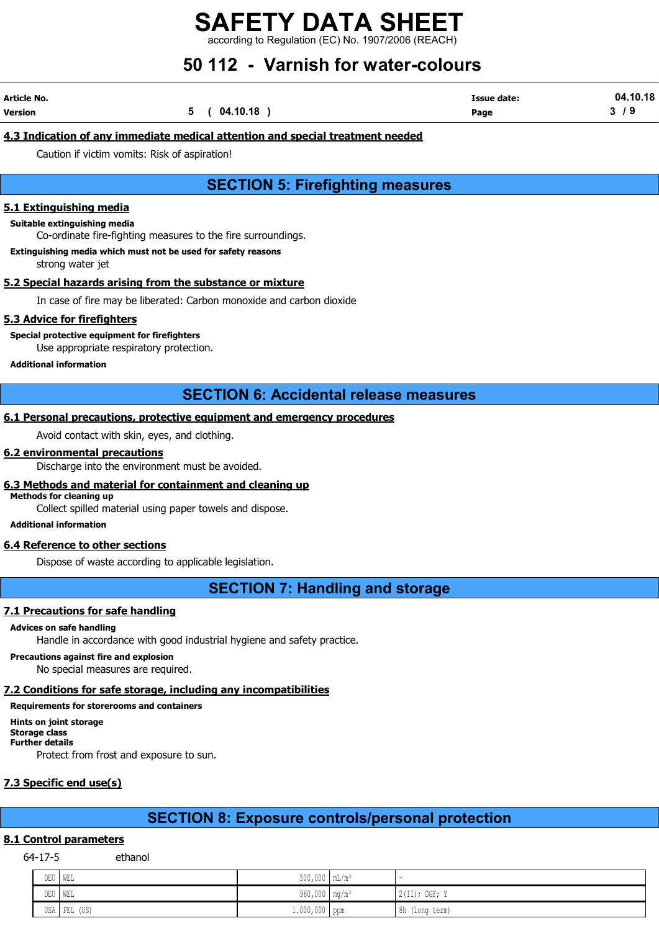according to Regulation (EC) No. 1907/2006 (REACH)

## 50 112 - Varnish for water-colours

| Article No.    |             | <b>Issue date:</b> | 04.10.18 |
|----------------|-------------|--------------------|----------|
| <b>Version</b> | 5(04.10.18) | Page               | - 13     |

### 4.3 Indication of any immediate medical attention and special treatment needed

Caution if victim vomits: Risk of aspiration!

### SECTION 5: Firefighting measures

#### 5.1 Extinguishing media

#### Suitable extinguishing media

Co-ordinate fire-fighting measures to the fire surroundings.

Extinguishing media which must not be used for safety reasons

strong water jet

### 5.2 Special hazards arising from the substance or mixture

In case of fire may be liberated: Carbon monoxide and carbon dioxide

### 5.3 Advice for firefighters

Special protective equipment for firefighters

Use appropriate respiratory protection.

#### Additional information

### SECTION 6: Accidental release measures

### 6.1 Personal precautions, protective equipment and emergency procedures

Avoid contact with skin, eyes, and clothing.

#### 6.2 environmental precautions

Discharge into the environment must be avoided.

#### 6.3 Methods and material for containment and cleaning up

Methods for cleaning up

Collect spilled material using paper towels and dispose.

### Additional information

### 6.4 Reference to other sections

Dispose of waste according to applicable legislation.

### SECTION 7: Handling and storage

### 7.1 Precautions for safe handling

### Advices on safe handling

Handle in accordance with good industrial hygiene and safety practice.

Precautions against fire and explosion

No special measures are required.

### 7.2 Conditions for safe storage, including any incompatibilities

Requirements for storerooms and containers

Hints on joint storage Storage class Further details Protect from frost and exposure to sun.

### 7.3 Specific end use(s)

### SECTION 8: Exposure controls/personal protection

### 8.1 Control parameters

64-17-5 ethanol

| DEU | I WEL           | $500,000$ $mL/m^3$          |   |                   |
|-----|-----------------|-----------------------------|---|-------------------|
| DEU | ' WEL           | 960,000   mg/m <sup>3</sup> |   | $2$ (II); DGF; Y  |
|     | USA PEL<br>(US) | $1.000,000$ ppm             | . | 8h<br>(long term) |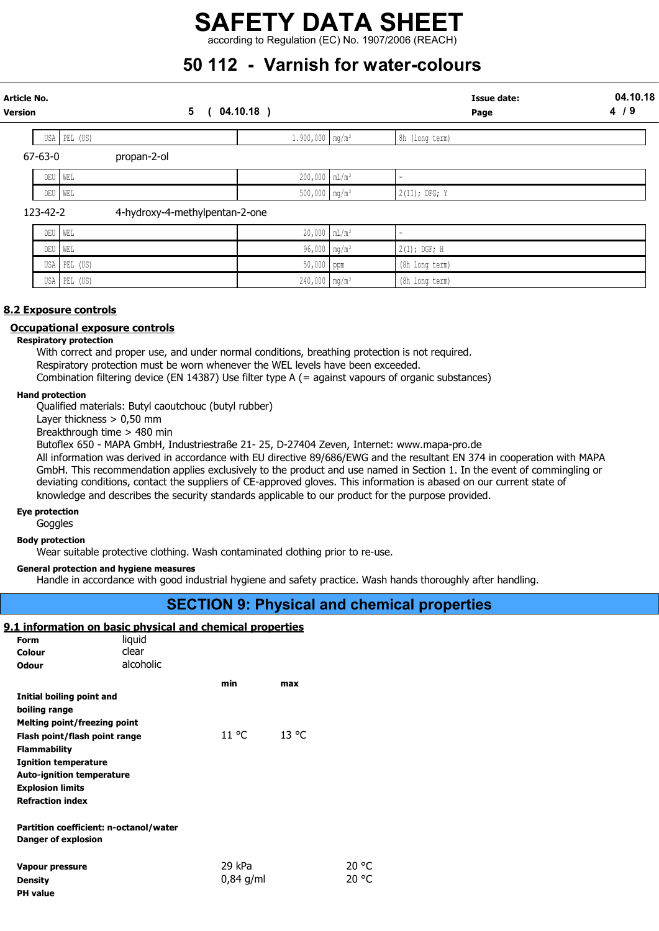### SAFETY DATA SHEET according to Regulation (EC) No. 1907/2006 (REACH)

## 50 112 - Varnish for water-colours

| Article No.<br>Version |              | 5<br>$04.10.18$ )              |                               | <b>Issue date:</b><br>Page | 04.10.18<br>4/9 |
|------------------------|--------------|--------------------------------|-------------------------------|----------------------------|-----------------|
|                        | USA PEL (US) |                                | $1.900,000$ mg/m <sup>3</sup> | 8h (long term)             |                 |
| $67 - 63 - 0$          | propan-2-ol  |                                |                               |                            |                 |
|                        | DEU<br>WEL   |                                | $200,000$ $mL/m^3$            |                            |                 |
|                        | DEU   WEL    |                                | $500,000$ mg/m <sup>3</sup>   | $2$ (II); DFG; Y           |                 |
|                        | 123-42-2     | 4-hydroxy-4-methylpentan-2-one |                               |                            |                 |
|                        | DEU<br>WEL   |                                | $20,000$ $mL/m^3$             |                            |                 |
|                        | DEU  <br>WEL |                                | 96,000 mg/m <sup>3</sup>      | $2(I);$ DGF; H             |                 |
|                        | USA PEL (US) |                                | $50,000$ ppm                  | (8h long term)             |                 |

USA PEL (US) 290,000 mg/m3 240,000 mg/m3 (8h long term) 2010 (8h long term) 2010 (8h long term) 2010 (9h long termi

### 8.2 Exposure controls

### Occupational exposure controls

### Respiratory protection

With correct and proper use, and under normal conditions, breathing protection is not required. Respiratory protection must be worn whenever the WEL levels have been exceeded. Combination filtering device (EN 14387) Use filter type A (= against vapours of organic substances)

### Hand protection

Qualified materials: Butyl caoutchouc (butyl rubber)

Layer thickness  $> 0.50$  mm

Breakthrough time > 480 min

Butoflex 650 - MAPA GmbH, Industriestraße 21- 25, D-27404 Zeven, Internet: www.mapa-pro.de

All information was derived in accordance with EU directive 89/686/EWG and the resultant EN 374 in cooperation with MAPA GmbH. This recommendation applies exclusively to the product and use named in Section 1. In the event of commingling or deviating conditions, contact the suppliers of CE-approved gloves. This information is abased on our current state of knowledge and describes the security standards applicable to our product for the purpose provided.

### Eye protection

PH value

Goggles

Body protection

Wear suitable protective clothing. Wash contaminated clothing prior to re-use.

### General protection and hygiene measures

Handle in accordance with good industrial hygiene and safety practice. Wash hands thoroughly after handling.

### SECTION 9: Physical and chemical properties

### 9.1 information on basic physical and chemical properties

| Form                                                                 | liguid    |             |       |       |
|----------------------------------------------------------------------|-----------|-------------|-------|-------|
| Colour                                                               | clear     |             |       |       |
| <b>Odour</b>                                                         | alcoholic |             |       |       |
|                                                                      |           | min.        | max   |       |
| Initial boiling point and                                            |           |             |       |       |
| boiling range                                                        |           |             |       |       |
| Melting point/freezing point                                         |           |             |       |       |
| Flash point/flash point range                                        |           | 11 °C       | 13 °C |       |
| <b>Flammability</b>                                                  |           |             |       |       |
| <b>Ignition temperature</b>                                          |           |             |       |       |
| <b>Auto-ignition temperature</b>                                     |           |             |       |       |
| <b>Explosion limits</b>                                              |           |             |       |       |
| <b>Refraction index</b>                                              |           |             |       |       |
|                                                                      |           |             |       |       |
| Partition coefficient: n-octanol/water<br><b>Danger of explosion</b> |           |             |       |       |
|                                                                      |           |             |       |       |
| Vapour pressure                                                      |           | 29 kPa      |       | 20 °C |
| <b>Density</b>                                                       |           | $0.84$ g/ml |       | 20 °C |
|                                                                      |           |             |       |       |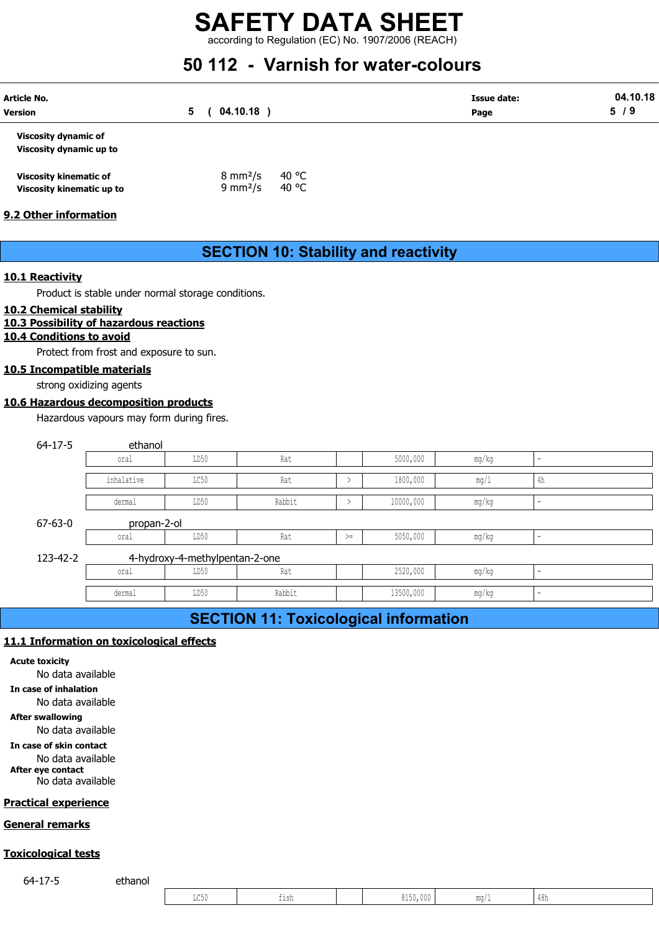according to Regulation (EC) No. 1907/2006 (REACH)

## 50 112 - Varnish for water-colours

| <b>Article No.</b><br><b>Version</b>                   | 5 | 04.10.18                  |       | <b>Issue date:</b><br>Page | 04.10.18<br>5/9 |
|--------------------------------------------------------|---|---------------------------|-------|----------------------------|-----------------|
| <b>Viscosity dynamic of</b><br>Viscosity dynamic up to |   |                           |       |                            |                 |
| <b>Viscosity kinematic of</b>                          |   | $8 \text{ mm}^2/\text{s}$ | 40 °C |                            |                 |

| viscosity kinematic or    | 0.11111775           | ט די  |
|---------------------------|----------------------|-------|
| Viscosity kinematic up to | 9 mm <sup>2</sup> /s | 40 °C |

### 9.2 Other information

### SECTION 10: Stability and reactivity

### 10.1 Reactivity

### 10.2 Chemical stability

### 10.3 Possibility of hazardous reactions

### 10.4 Conditions to avoid

### 10.5 Incompatible materials

### 10.6 Hazardous decomposition products

|                            |                                                    |                                | <b>SECTION 10: Stability and reactivity</b>  |               |           |       |                          |  |
|----------------------------|----------------------------------------------------|--------------------------------|----------------------------------------------|---------------|-----------|-------|--------------------------|--|
| Reactivity                 |                                                    |                                |                                              |               |           |       |                          |  |
|                            | Product is stable under normal storage conditions. |                                |                                              |               |           |       |                          |  |
| <b>Chemical stability</b>  | <b>Possibility of hazardous reactions</b>          |                                |                                              |               |           |       |                          |  |
| <b>Conditions to avoid</b> |                                                    |                                |                                              |               |           |       |                          |  |
|                            | Protect from frost and exposure to sun.            |                                |                                              |               |           |       |                          |  |
|                            | <b>Incompatible materials</b>                      |                                |                                              |               |           |       |                          |  |
| strong oxidizing agents    |                                                    |                                |                                              |               |           |       |                          |  |
|                            | <b>Hazardous decomposition products</b>            |                                |                                              |               |           |       |                          |  |
|                            | Hazardous vapours may form during fires.           |                                |                                              |               |           |       |                          |  |
| $64 - 17 - 5$              | ethanol                                            |                                |                                              |               |           |       |                          |  |
|                            | oral                                               | LD50                           | Rat                                          |               | 5000,000  | mg/kg | ÷                        |  |
|                            | inhalative                                         | LC50                           | Rat                                          | $\rightarrow$ | 1800,000  | mg/1  | 4h                       |  |
|                            | dermal                                             | LD50                           | Rabbit                                       | $\rightarrow$ | 10000,000 | mg/kg | $\overline{\phantom{0}}$ |  |
| $67 - 63 - 0$              | propan-2-ol                                        |                                |                                              |               |           |       |                          |  |
|                            | oral                                               | LD50                           | Rat                                          | $>=$          | 5050,000  | mg/kg | L.                       |  |
| 123-42-2                   |                                                    | 4-hydroxy-4-methylpentan-2-one |                                              |               |           |       |                          |  |
|                            | oral                                               | LD50                           | Rat                                          |               | 2520,000  | mg/kg |                          |  |
|                            | dermal                                             | LD50                           | Rabbit                                       |               | 13500,000 | mg/kg |                          |  |
|                            |                                                    |                                | <b>SECTION 11: Toxicological information</b> |               |           |       |                          |  |
|                            |                                                    |                                |                                              |               |           |       |                          |  |

### SECTION 11: Toxicological information

### 11.1 Information on toxicological effects

#### Acute toxicity

No data available

In case of inhalation

No data available

#### After swallowing

No data available

In case of skin contact No data available

After eye contact

No data available

### Practical experience

### General remarks

### Toxicological tests

64-17-5 ethanol

|       | <u>cicological effects</u> |      |          |        |                |  |
|-------|----------------------------|------|----------|--------|----------------|--|
|       |                            |      |          |        |                |  |
|       |                            |      |          |        |                |  |
|       |                            |      |          |        |                |  |
|       |                            |      |          |        |                |  |
|       |                            |      |          |        |                |  |
|       |                            |      |          |        |                |  |
|       |                            |      |          |        |                |  |
|       |                            |      |          |        |                |  |
|       |                            |      |          |        |                |  |
|       |                            |      |          |        |                |  |
|       |                            |      |          |        |                |  |
| hanol |                            |      |          |        |                |  |
|       | $_{\rm LC50}$              | fish | 8150,000 | $mg/1$ | $48\mathrm{h}$ |  |
|       |                            |      |          |        |                |  |
|       |                            |      |          |        |                |  |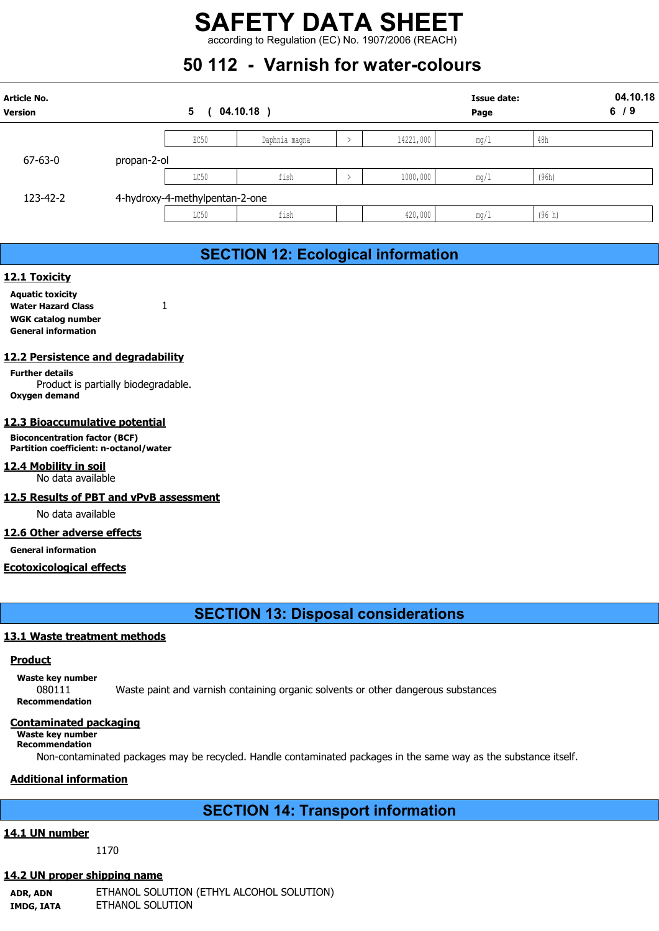## 50 112 - Varnish for water-colours

|                                      |             |                                | <b>SAFETY DATA SHEET</b><br>according to Regulation (EC) No. 1907/2006 (REACH) |               |                            |      |        |  |
|--------------------------------------|-------------|--------------------------------|--------------------------------------------------------------------------------|---------------|----------------------------|------|--------|--|
|                                      |             |                                |                                                                                |               |                            |      |        |  |
|                                      |             |                                |                                                                                |               |                            |      |        |  |
|                                      |             |                                |                                                                                |               |                            |      |        |  |
|                                      |             |                                | 50 112 - Varnish for water-colours                                             |               |                            |      |        |  |
| <b>Article No.</b><br><b>Version</b> |             | $5\phantom{.0}$                | $04.10.18$ )                                                                   |               | <b>Issue date:</b><br>Page |      |        |  |
|                                      |             | EC50                           | Daphnia magna                                                                  | $\rightarrow$ | 14221,000                  | mg/1 | 48h    |  |
| $67 - 63 - 0$                        | propan-2-ol |                                |                                                                                |               |                            |      |        |  |
|                                      |             | LC50                           | fish                                                                           | $\rightarrow$ | 1000,000                   | mg/1 | (96h)  |  |
| 123-42-2                             |             | 4-hydroxy-4-methylpentan-2-one |                                                                                |               |                            |      |        |  |
|                                      |             | LC50                           | fish                                                                           |               | 420,000                    | mg/1 | (96 h) |  |
|                                      |             |                                |                                                                                |               |                            |      |        |  |
|                                      |             |                                |                                                                                |               |                            |      |        |  |
| 12.1 Toxicity                        |             |                                | <b>SECTION 12: Ecological information</b>                                      |               |                            |      |        |  |
| <b>Aquatic toxicity</b>              | 1           |                                |                                                                                |               |                            |      |        |  |

### SECTION 12: Ecological information

### 12.1 Toxicity

Aquatic toxicity Water Hazard Class 1 WGK catalog number General information

### 12.2 Persistence and degradability

Further details Product is partially biodegradable. Oxygen demand

### 12.3 Bioaccumulative potential

Bioconcentration factor (BCF) Partition coefficient: n-octanol/water

12.4 Mobility in soil No data available

### 12.5 Results of PBT and vPvB assessment

No data available

### 12.6 Other adverse effects

General information

### Ecotoxicological effects

### SECTION 13: Disposal considerations

### 13.1 Waste treatment methods

### Product

Waste key number

080111 Waste paint and varnish containing organic solvents or other dangerous substances Recommendation

### Contaminated packaging

#### Waste key number Recommendation

Non-contaminated packages may be recycled. Handle contaminated packages in the same way as the substance itself.

### Additional information

### SECTION 14: Transport information

### 14.1 UN number

1170

### 14.2 UN proper shipping name

ADR, ADN ETHANOL SOLUTION (ETHYL ALCOHOL SOLUTION) IMDG, IATA ETHANOL SOLUTION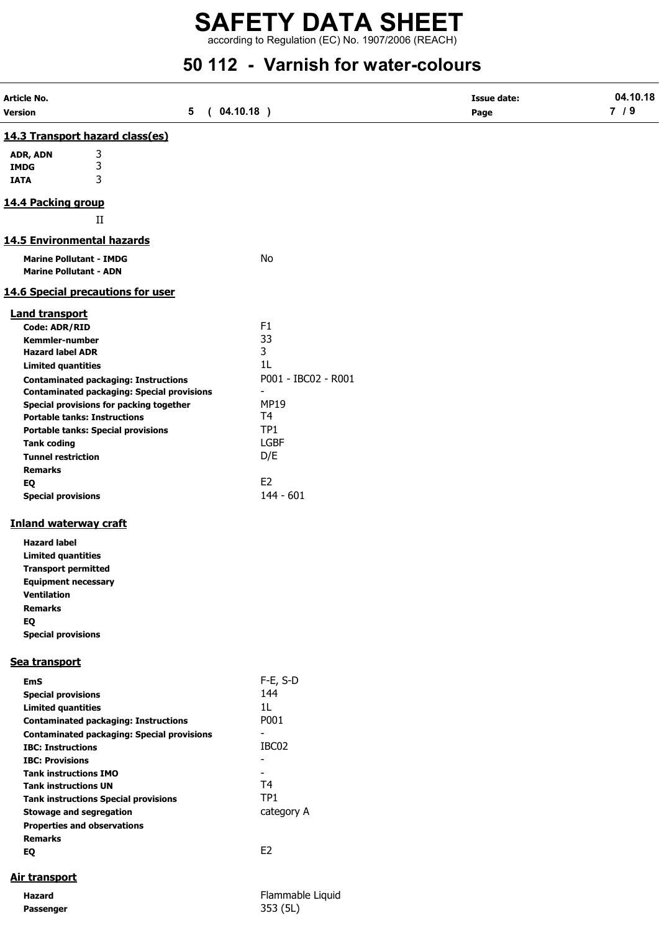according to Regulation (EC) No. 1907/2006 (REACH)

# 50 112 - Varnish for water-colours

| Article No.                                                                    |                                                   |                               | <b>Issue date:</b> | 04.10.18 |
|--------------------------------------------------------------------------------|---------------------------------------------------|-------------------------------|--------------------|----------|
| Version                                                                        | (04.10.18)<br>5                                   |                               | Page               | 7/9      |
| 14.3 Transport hazard class(es)                                                |                                                   |                               |                    |          |
| 3<br>ADR, ADN                                                                  |                                                   |                               |                    |          |
| 3<br><b>IMDG</b><br>3                                                          |                                                   |                               |                    |          |
| <b>IATA</b>                                                                    |                                                   |                               |                    |          |
| 14.4 Packing group                                                             |                                                   |                               |                    |          |
| $\rm II$                                                                       |                                                   |                               |                    |          |
| 14.5 Environmental hazards                                                     |                                                   |                               |                    |          |
| <b>Marine Pollutant - IMDG</b>                                                 |                                                   | No                            |                    |          |
| <b>Marine Pollutant - ADN</b>                                                  |                                                   |                               |                    |          |
| <b>14.6 Special precautions for user</b>                                       |                                                   |                               |                    |          |
| <b>Land transport</b>                                                          |                                                   |                               |                    |          |
| Code: ADR/RID                                                                  |                                                   | F <sub>1</sub>                |                    |          |
| Kemmler-number                                                                 |                                                   | 33                            |                    |          |
| <b>Hazard label ADR</b>                                                        |                                                   | 3                             |                    |          |
| <b>Limited quantities</b>                                                      |                                                   | 1L                            |                    |          |
| <b>Contaminated packaging: Instructions</b>                                    | <b>Contaminated packaging: Special provisions</b> | P001 - IBC02 - R001           |                    |          |
| Special provisions for packing together<br><b>Portable tanks: Instructions</b> |                                                   | <b>MP19</b><br>T <sub>4</sub> |                    |          |
| <b>Portable tanks: Special provisions</b>                                      |                                                   | TP <sub>1</sub>               |                    |          |
| <b>Tank coding</b>                                                             |                                                   | <b>LGBF</b>                   |                    |          |
| <b>Tunnel restriction</b>                                                      |                                                   | D/E                           |                    |          |
| <b>Remarks</b>                                                                 |                                                   |                               |                    |          |
| EQ                                                                             |                                                   | E <sub>2</sub>                |                    |          |
| <b>Special provisions</b>                                                      |                                                   | $144 - 601$                   |                    |          |
| <b>Inland waterway craft</b>                                                   |                                                   |                               |                    |          |
| <b>Hazard label</b>                                                            |                                                   |                               |                    |          |
| <b>Limited quantities</b>                                                      |                                                   |                               |                    |          |
| <b>Transport permitted</b>                                                     |                                                   |                               |                    |          |
| <b>Equipment necessary</b>                                                     |                                                   |                               |                    |          |
| <b>Ventilation</b>                                                             |                                                   |                               |                    |          |
| <b>Remarks</b>                                                                 |                                                   |                               |                    |          |
| EQ                                                                             |                                                   |                               |                    |          |
| <b>Special provisions</b>                                                      |                                                   |                               |                    |          |
| Sea transport                                                                  |                                                   |                               |                    |          |
| <b>EmS</b>                                                                     |                                                   | $F-E$ , S-D                   |                    |          |
| <b>Special provisions</b>                                                      |                                                   | 144                           |                    |          |
| <b>Limited quantities</b>                                                      |                                                   | 1L                            |                    |          |
| <b>Contaminated packaging: Instructions</b>                                    |                                                   | P001                          |                    |          |
|                                                                                | <b>Contaminated packaging: Special provisions</b> | $\blacksquare$                |                    |          |
| <b>IBC: Instructions</b>                                                       |                                                   | IBC02                         |                    |          |
| <b>IBC: Provisions</b>                                                         |                                                   | $\overline{\phantom{a}}$      |                    |          |
| <b>Tank instructions IMO</b><br><b>Tank instructions UN</b>                    |                                                   | T <sub>4</sub>                |                    |          |
| <b>Tank instructions Special provisions</b>                                    |                                                   | TP1                           |                    |          |
| <b>Stowage and segregation</b>                                                 |                                                   | category A                    |                    |          |
| <b>Properties and observations</b>                                             |                                                   |                               |                    |          |
| <b>Remarks</b>                                                                 |                                                   |                               |                    |          |
| EQ                                                                             |                                                   | E <sub>2</sub>                |                    |          |
| Air transport                                                                  |                                                   |                               |                    |          |
| <b>Hazard</b>                                                                  |                                                   | Flammable Liquid              |                    |          |
|                                                                                |                                                   |                               |                    |          |

Passenger 353 (5L)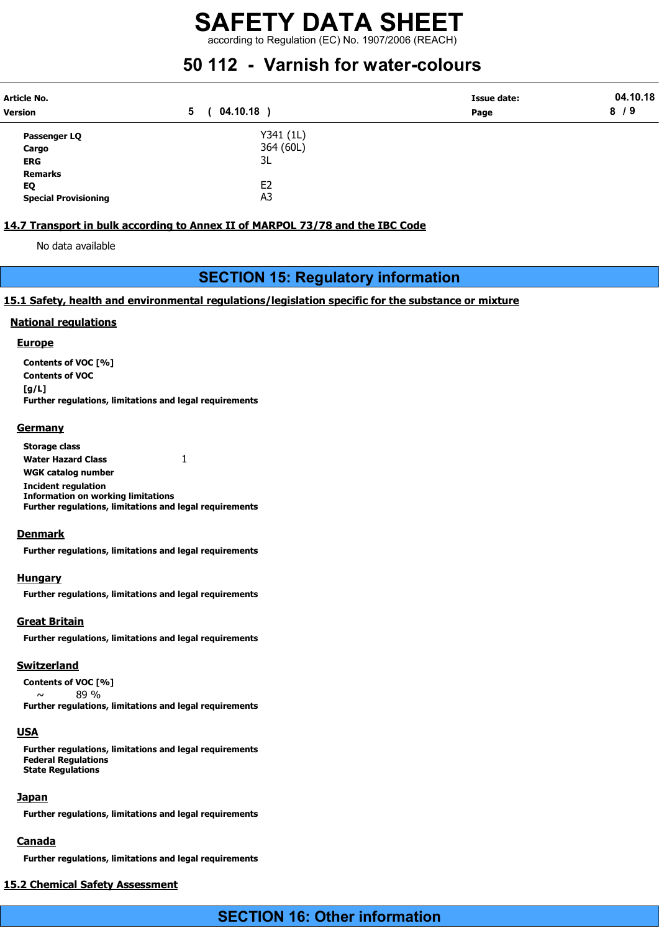according to Regulation (EC) No. 1907/2006 (REACH)

## 50 112 - Varnish for water-colours

| <b>Article No.</b>          |                   | <b>Issue date:</b> | 04.10.18 |
|-----------------------------|-------------------|--------------------|----------|
| <b>Version</b>              | $04.10.18$ )<br>5 | Page               | 8/9      |
| Passenger LQ                | Y341 (1L)         |                    |          |
| Cargo                       | 364 (60L)         |                    |          |
| <b>ERG</b>                  | 3L                |                    |          |
| <b>Remarks</b>              |                   |                    |          |
| EQ                          | E2                |                    |          |
| <b>Special Provisioning</b> | A3                |                    |          |

### 14.7 Transport in bulk according to Annex II of MARPOL 73/78 and the IBC Code

No data available

### SECTION 15: Regulatory information

### 15.1 Safety, health and environmental regulations/legislation specific for the substance or mixture

### National regulations

### **Europe**

Contents of VOC [%] Contents of VOC [g/L] Further regulations, limitations and legal requirements

### **Germany**

Storage class Water Hazard Class 1 WGK catalog number Incident regulation Information on working limitations Further regulations, limitations and legal requirements

### Denmark

Further regulations, limitations and legal requirements

### **Hungary**

Further regulations, limitations and legal requirements

### Great Britain

Further regulations, limitations and legal requirements

### Switzerland

Contents of VOC [%]

 $\sim$  89 % Further regulations, limitations and legal requirements

### USA

Further regulations, limitations and legal requirements Federal Regulations State Regulations

### **Japan**

Further regulations, limitations and legal requirements

### Canada

Further regulations, limitations and legal requirements

### 15.2 Chemical Safety Assessment